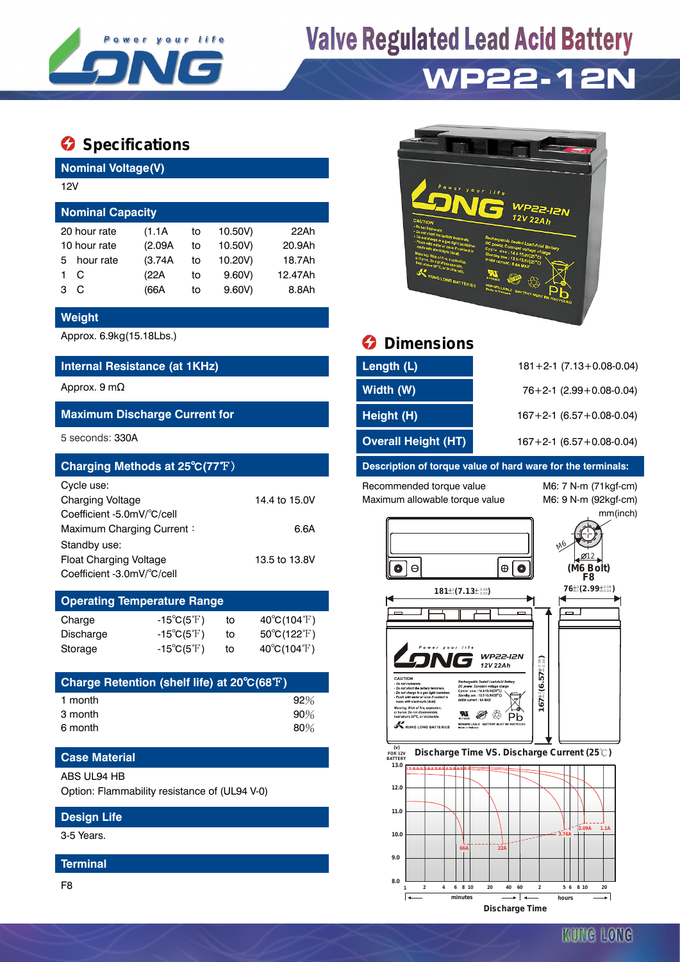

# **Valve Regulated Lead Acid Battery**

## **WP22-12N**

### $\bullet$  Specifications

**Nominal Voltage(V)**

| 12V                     |              |         |    |         |         |  |  |  |  |
|-------------------------|--------------|---------|----|---------|---------|--|--|--|--|
| <b>Nominal Capacity</b> |              |         |    |         |         |  |  |  |  |
|                         | 20 hour rate | (1.1A)  | to | 10.50V) | 22Ah    |  |  |  |  |
| 10 hour rate            |              | (2.09A) | to | 10.50V) | 20.9Ah  |  |  |  |  |
| 5.                      | hour rate    | (3.74A) | to | 10.20V) | 18.7Ah  |  |  |  |  |
|                         | С            | (22A    | to | 9.60V   | 12.47Ah |  |  |  |  |
| з                       | C            | (66A    | to | 9.60V   | 8.8Ah   |  |  |  |  |

#### **Weight**

#### **Internal Resistance (at 1KHz)**

#### **Maximum Discharge Current for**

| Charging Methods at 25°C(77°F) |               |
|--------------------------------|---------------|
| Cycle use:                     |               |
| <b>Charging Voltage</b>        | 14.4 to 15.0V |
| Coefficient -5.0mV/°C/cell     |               |
| Maximum Charging Current:      | 6.6A          |
| Standby use:                   |               |
| <b>Float Charging Voltage</b>  | 13.5 to 13.8V |
| Coefficient -3.0mV/°C/cell     |               |

#### **Operating Temperature Range**

| Charge           | $-15^{\circ}C(5^{\circ}F)$ | to | $40^{\circ}C(104^{\circ}F)$      |
|------------------|----------------------------|----|----------------------------------|
| <b>Discharge</b> | $-15^{\circ}C(5^{\circ}F)$ | to | $50^{\circ}$ C(122 $^{\circ}$ F) |
| Storage          | $-15^{\circ}C(5^{\circ}F)$ | to | $40^{\circ}$ C(104 $^{\circ}$ F) |

| 92%    |
|--------|
| $90\%$ |
| 80%    |
|        |

#### **Case Material**

ABS UL94 HB

Option: Flammability resistance of (UL94 V-0)

#### **Design Life**

3-5 Years.

#### **Terminal**

F8



### Approx. 6.9kg(15.18Lbs.) **Dimensions**

| Internal Resistance (at 1KHz)        | Length (L)                 | $181 + 2 - 1$ (7.13 + 0.08 - 0.04) |
|--------------------------------------|----------------------------|------------------------------------|
| Approx. 9 m $\Omega$                 | Width (W)                  | $76+2-1$ (2.99 + 0.08-0.04)        |
| <b>Maximum Discharge Current for</b> | Height (H)                 | $167 + 2 - 1$ (6.57 + 0.08 - 0.04) |
| 5 seconds: 330A                      | <b>Overall Height (HT)</b> | $167 + 2 - 1$ (6.57 + 0.08 - 0.04) |

#### Description of torque value of hard ware for the terminals:

Recommended torque value M6: 7 N-m (71kgf-cm) Maximum allowable torque value M6: 9 N-m (92kgf-cm)

mm(inch)